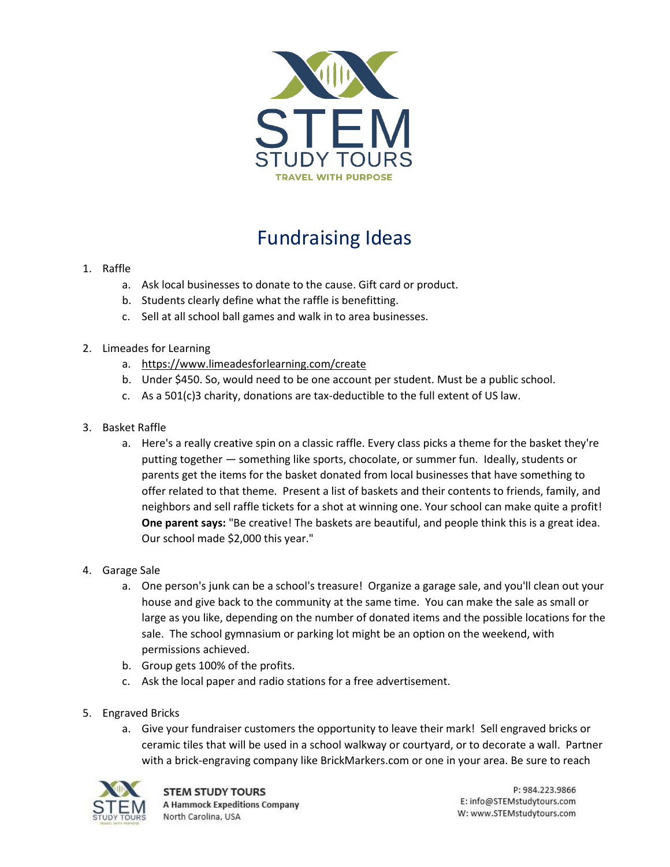

## Fundraising Ideas

- 1. Raffle
	- a. Ask local businesses to donate to the cause. Gift card or product.
	- b. Students clearly define what the raffle is benefitting.
	- c. Sell at all school ball games and walk in to area businesses.
- 2. Limeades for Learning
	- a. <https://www.limeadesforlearning.com/create>
	- b. Under \$450. So, would need to be one account per student. Must be a public school.
	- c. As a 501(c)3 charity, donations are tax-deductible to the full extent of US law.
- 3. Basket Raffle
	- a. Here's a really creative spin on a classic raffle. Every class picks a theme for the basket they're putting together — something like sports, chocolate, or summer fun. Ideally, students or parents get the items for the basket donated from local businesses that have something to offer related to that theme. Present a list of baskets and their contents to friends, family, and neighbors and sell raffle tickets for a shot at winning one. Your school can make quite a profit! **One parent says:** "Be creative! The baskets are beautiful, and people think this is a great idea. Our school made \$2,000 this year."
- 4. Garage Sale
	- a. One person's junk can be a school's treasure! Organize a garage sale, and you'll clean out your house and give back to the community at the same time. You can make the sale as small or large as you like, depending on the number of donated items and the possible locations for the sale. The school gymnasium or parking lot might be an option on the weekend, with permissions achieved.
	- b. Group gets 100% of the profits.
	- c. Ask the local paper and radio stations for a free advertisement.
- 5. Engraved Bricks
	- a. Give your fundraiser customers the opportunity to leave their mark! Sell engraved bricks or ceramic tiles that will be used in a school walkway or courtyard, or to decorate a wall. Partner with a brick-engraving company like BrickMarkers.com or one in your area. Be sure to reach



P: 984.223.9866 E: info@STEMstudytours.com W: www.STEMstudytours.com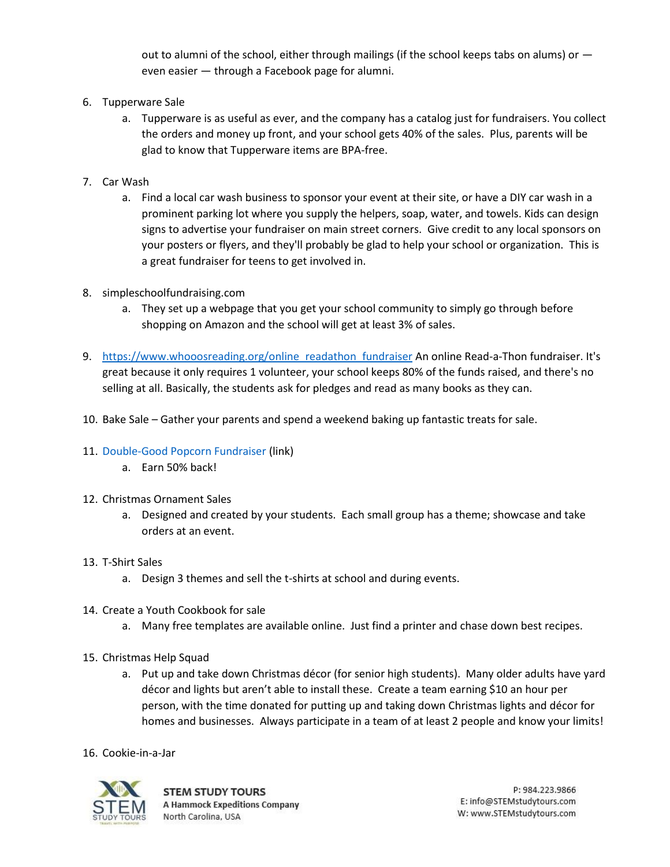out to alumni of the school, either through mailings (if the school keeps tabs on alums) or  $$ even easier — through a Facebook page for alumni.

- 6. Tupperware Sale
	- a. Tupperware is as useful as ever, and the company has a catalog just for fundraisers. You collect the orders and money up front, and your school gets 40% of the sales. Plus, parents will be glad to know that Tupperware items are BPA-free.
- 7. Car Wash
	- a. Find a local car wash business to sponsor your event at their site, or have a DIY car wash in a prominent parking lot where you supply the helpers, soap, water, and towels. Kids can design signs to advertise your fundraiser on main street corners. Give credit to any local sponsors on your posters or flyers, and they'll probably be glad to help your school or organization. This is a great fundraiser for teens to get involved in.
- 8. [simpleschoolfundraising.com](https://l.facebook.com/l.php?u=http%3A%2F%2Fsimpleschoolfundraising.com%2F&h=VAQGySoiq)
	- a. They set up a webpage that you get your school community to simply go through before shopping on Amazon and the school will get at least 3% of sales.
- 9. https://www.whooosreading.org/online readathon fundraiser An online Read-a-Thon fundraiser. It's great because it only requires 1 volunteer, your school keeps 80% of the funds raised, and there's no selling at all. Basically, the students ask for pledges and read as many books as they can.
- 10. Bake Sale Gather your parents and spend a weekend baking up fantastic treats for sale.
- 11. [Double-Good Popcorn Fundraiser](https://www.doublegood.com/fundraising4?source=google&kw=%2Byouth%20%2Bgroup%20%2Bfundraiser&gclid=Cj0KCQiA-4nuBRCnARIsAHwyuPpFcKAzZagBNYCTMjQ4tLXpfhk3t-J69FKzY4SNS44ESF7gbPPq2KcaAj5-EALw_wcB) (link)
	- a. Earn 50% back!
- 12. Christmas Ornament Sales
	- a. Designed and created by your students. Each small group has a theme; showcase and take orders at an event.
- 13. T-Shirt Sales
	- a. Design 3 themes and sell the t-shirts at school and during events.
- 14. Create a Youth Cookbook for sale
	- a. Many free templates are available online. Just find a printer and chase down best recipes.
- 15. Christmas Help Squad
	- a. Put up and take down Christmas décor (for senior high students). Many older adults have yard décor and lights but aren't able to install these. Create a team earning \$10 an hour per person, with the time donated for putting up and taking down Christmas lights and décor for homes and businesses. Always participate in a team of at least 2 people and know your limits!
- 16. Cookie-in-a-Jar